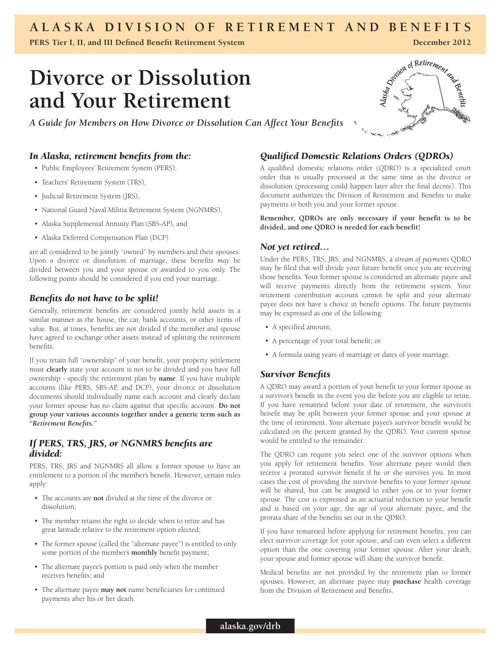### **A l a s k a Division of Reti r ement a n d Benefits**

**PERS Tier I, II, and III Defined Benefit Retirement System**

**December 2012**

## **Divorce or Dissolution and Your Retirement**

*A Guide for Members on How Divorce or Dissolution Can Affect Your Benefits*

#### *In Alaska, retirement benefits from the:*

- • Public Employees' Retirement System (PERS),
- • Teachers' Retirement System (TRS),
- Judicial Retirement System (JRS),
- National Guard Naval Militia Retirement System (NGNMRS),
- • Alaska Supplemental Annuity Plan (SBS-AP), and
- • Alaska Deferred Compensation Plan (DCP)

are all considered to be jointly "owned" by members and their spouses. Upon a divorce or dissolution of marriage, these benefits *may* be divided between you and your spouse or awarded to you only. The following points should be considered if you end your marriage.

#### *Benefits do not have to be split!*

Generally, retirement benefits are considered jointly held assets in a similar manner as the house, the car, bank accounts, or other items of value. But, at times, benefits are not divided if the member and spouse have agreed to exchange other assets instead of splitting the retirement benefits.

If you retain full "ownership" of your benefit, your property settlement must **clearly** state your account is not to be divided and you have full ownership - specify the retirement plan by **name**. If you have multiple accounts (like PERS, SBS-AP, and DCP), your divorce or dissolution documents should individually name each account and clearly declare your former spouse has no claim against that specific account. **Do not group your various accounts together under a generic term such as "***Retirement Benefits***."**

#### *If PERS, TRS, JRS, or NGNMRS benefits are divided:*

PERS, TRS, JRS and NGNMRS all allow a former spouse to have an entitlement to a portion of the member's benefit. However, certain rules apply:

- • The accounts are **not** divided at the time of the divorce or dissolution;
- The member retains the right to decide when to retire and has great latitude relative to the retirement option elected;
- The former spouse (called the "alternate payee") is entitled to only some portion of the member's **monthly** benefit payment;
- The alternate payee's portion is paid only when the member receives benefits; and
- • The alternate payee **may not** name beneficiaries for continued payments after his or her death.

# Similar of Retirement and

#### *Qualified Domestic Relations Orders (QDROs)*

A qualified domestic relations order (QDRO) is a specialized court order that is usually processed at the same time as the divorce or dissolution (processing could happen later after the final decree). This document authorizes the Division of Retirement and Benefits to make payments to both you and your former spouse.

**Remember, QDROs are only necessary if your benefit is to be divided, and one QDRO is needed for each benefit!** 

#### *Not yet retired…*

Under the PERS, TRS, JRS, and NGNMRS, a *stream of payments* QDRO may be filed that will divide your future benefit once you are receiving those benefits. Your former spouse is considered an alternate payee and will receive payments directly from the retirement system. Your retirement contribution account cannot be split and your alternate payee does not have a choice in benefit options. The future payments may be expressed as one of the following:

- • A specified amount;
- • A percentage of your total benefit; or
- • A formula using years of marriage or dates of your marriage.

#### *Survivor Benefits*

A QDRO may award a portion of your benefit to your former spouse as a survivor's benefit in the event you die before you are eligible to retire. If you have remarried before your date of retirement, the survivor's benefit may be split between your former spouse and your spouse at the time of retirement. Your alternate payee's survivor benefit would be calculated on the percent granted by the QDRO. Your current spouse would be entitled to the remainder.

The QDRO can require you select one of the survivor options when you apply for retirement benefits. Your alternate payee would then receive a prorated survivor benefit if he or she survives you. In most cases the cost of providing the survivor benefits to your former spouse will be shared, but can be assigned to either you or to your former spouse. The cost is expressed as an actuarial reduction to your benefit and is based on your age, the age of your alternate payee, and the prorata share of the benefits set out in the QDRO.

If you have remarried before applying for retirement benefits, you can elect survivor coverage for your spouse, and can even select a different option than the one covering your former spouse. After your death, your spouse and former spouse will share the survivor benefit.

Medical benefits are not provided by the retirement plan to former spouses. However, an alternate payee may **purchase** health coverage from the Division of Retirement and Benefits.